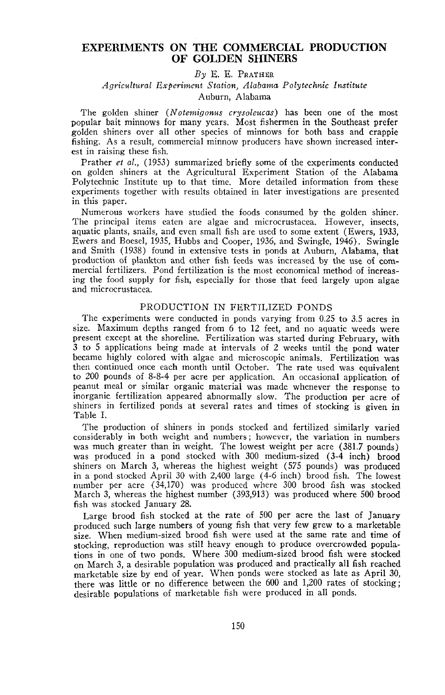# **EXPERIMENTS ON THE COMMERCIAL PRODUCTION OF GOLDEN SHINERS**

## *By* E. E. PRATHER

## *Agricultural Experiment Station, Alabama Polytechnic Institute* Auburn, Alabama

The golden shiner *(Notemigonus cr:vsoleucas)* has been one of the most popular bait minnows for many years. Most fishermen in the Southeast prefer golden shiners over all other species of minnows for both bass and crappie fishing. As a result, commercial minnow producers have shown increased interest in raising these fish.

Prather *et al.,* (1953) summarized briefly some of the experiments conducted on golden shiners at the Agricultural Experiment Station of the Alabama Polytechnic Institute up to that time. More detailed information from these experiments together with results obtained in later investigations are presented in this paper.

Numerous workers have studied the foods consumed by the golden shiner. The principal items eaten are algae and microcrustacea. However, insects, aquatic plants, snails, and even small fish are used to some extent (Ewers, 1933, Ewers and Boesel, 1935, Hubbs and Cooper, 1936, and Swingle, 1946). Swingle and Smith (1938) found in extensive tests in ponds at Auburn, Alabama, that production of plankton and other fish feeds was increased by the use of commercial fertilizers. Pond fertilization is the most economical method of increasing the food supply for fish, especially for those that feed largely upon algae and microcrustacea.

## PRODUCTION IN FERTILIZED PONDS

The experiments were conducted in ponds varying from 0.25 to 3.5 acres in size. Maximum depths ranged from 6 to 12 feet, and no aquatic weeds were present except at the shoreline. Fertilization was started during February, with 3 to 5 applications being made at intervals of 2 weeks until the pond water became highly colored with algae and microscopic animals. Fertilization was then continued once each month until October. The rate used was equivalent to 200 pounds of 8-8-4 per acre per application. An occasional application of peanut meal or similar organic material was made whenever the response to inorganic fertilization appeared abnormally slow. The production per acre of shiners in fertilized ponds at several rates and times of stocking is given in Table 1.

The production of shiners in ponds stocked and fertilized similarly varied considerably in both weight and numbers; however, the variation in numbers was much greater than in weight. The lowest weight per acre (381.7 pounds) was produced in a pond stocked with 300 medium-sized (3-4 inch) brood shiners on March 3, whereas the highest weight (575 pounds) was produced in a pond stocked April 30 with 2,400 large (4-6 inch) brood fish. The lowest number per acre (34,170) was produced where 300 brood fish was stocked March 3, whereas the highest number (393,913) was produced where 500 brood fish was stocked January 28.

Large brood fish stocked at the rate of 500 per acre the last of January produced such large numbers of young fish that very few grew to a marketable size. When medium-sized brood fish were used at the same rate and time of stocking, reproduction was still heavy enough to produce overcrowded populations in one of two ponds. Where 300 medium-sized brood fish were stocked on March 3, a desirable population was produced and practically all fish reached marketable size by end of year. When ponds were stocked as late as April 30, there was little or no difference between the 600 and 1,200 rates of stocking; desirable populations of marketable fish were produced in all ponds.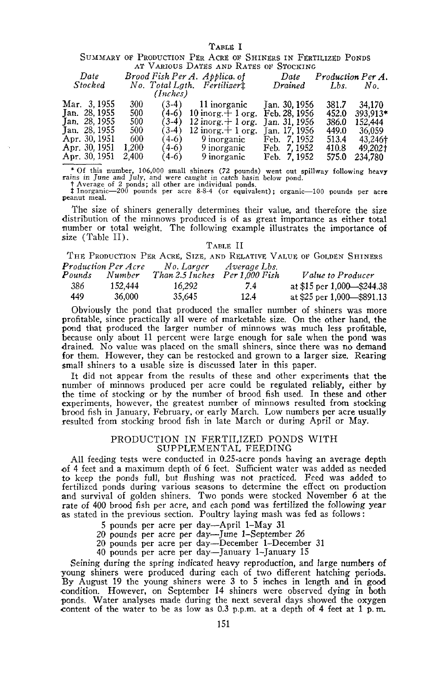| SUMMARY OF PRODUCTION PER ACRE OF SHINERS IN FERTILIZED PONDS<br>AT VARIOUS DATES AND RATES OF STOCKING |       |          |                                    |               |       |                   |  |  |
|---------------------------------------------------------------------------------------------------------|-------|----------|------------------------------------|---------------|-------|-------------------|--|--|
|                                                                                                         |       |          |                                    |               |       |                   |  |  |
| Date                                                                                                    |       |          | Brood Fish Per A. Applica. of      | Date          |       | Production Per A. |  |  |
| Stocked                                                                                                 |       |          | No. Total Lath. Fertilizert        | Drained       | Lbs.  | No.               |  |  |
|                                                                                                         |       | (Inches) |                                    |               |       |                   |  |  |
| Mar. 3,1955                                                                                             | 300   |          | $(3-4)$ 11 inorganic Jan. 30, 1956 |               | 381.7 | 34.170            |  |  |
| Jan. 28, 1955                                                                                           | 500   | $(4-6)$  | 10 inorg. $+1$ org. Feb. 28, 1956  |               | 452.0 | 393.913*          |  |  |
| Jan. 28, 1955                                                                                           | 500   | $(3-4)$  | 12 inorg. $+1$ org.                | Jan. 31, 1956 | 386.0 | 152,444           |  |  |
| Jan. 28, 1955                                                                                           | 500   | (3-4)    | 12 inorg. $+$ 1 org.               | Jan. 17. 1956 | 449.0 | 36,059            |  |  |
| Apr. 30, 1951                                                                                           | 600   | $(4-6)$  | 9 inorganic                        | Feb. 7, 1952  | 513.4 | 43,246†           |  |  |
| Apr. 30, 1951                                                                                           | 1.200 | $(4-6)$  | 9 inorganic                        | Feb. 7, 1952  | 410.8 | 49,202†           |  |  |
| Apr. 30, 1951                                                                                           | 2.400 | (4-6)    | 9 inorganic                        | Feb. 7, 1952  | 575.0 | 234,780           |  |  |

\* Of this number, 106,000 small shiners (72 pounds) went out spillway following heavy rains in June and July, and were caught in catch basin below pond.<br>The present in the angle of 2 ponds; all other are individual ponds.

**:t Inorganic-200 pounds per acre** 8~8-4 **(or equivalent); organic-lOO pounds per acre peanut meal.**

The size of shiners generally determines their value, and therefore the size distribution of the minnows produced is of as great importance as either total number or total weight. The following example illustrates the importance of size (Table II).

### TABLE II

THE PRODUCTION PER ACRE, SIZE, AND RELATIVE VALUE OF GOLDEN SHINERS *Production Per A ere No. Larger Average Lbs.*

| Pounds | Number  | Than 2.5 Inches Per 1.000 Fish |      | <i>Value to Producer</i>       |
|--------|---------|--------------------------------|------|--------------------------------|
| 386    | 152.444 | 16.292                         | 7.4  | at \$15 per 1,000 $-$ \$244,38 |
| 449.   | 36,000  | 35.645                         | 12.4 | at \$25 per 1,000 \$891.13     |

Obviously the pond that produced the smaller number of shiners was more profitable, since practically all were of marketable size. On the other hand, the pond that produced the larger number of minnows was much less profitable, because only about 11 percent were large enough for sale when the pond was drained. No value was placed on the small shiners, since there was no demand for them. However, they can be restocked and grown to a larger size. Rearing small shiners to a usable size is discussed later in this paper.

It did not appear from the results of these and other experiments that the number of minnows produced per acre could be regulated reliably, either by the time of stocking or by the number of brood fish used. In these and other experiments, however, the greatest number of minnows resulted from stocking brood fish in January, February, or early March. Low numbers per acre usually resulted from stocking brood fish in late March or during April or May.

### PRODUCTION IN FERTILIZED PONDS WITH SUPPLEMENTAL FEEDING

All feeding tests were conducted in 0.25-acre ponds having an average depth of 4 feet and a maximum depth of 6 feet. Sufficient water was added as needed to keep the ponds full, but flushing was not practiced. Feed was added to fertilized ponds during various seasons to determine the effect on production and survival of golden shiners. Two ponds were stocked November 6 at the rate of <sup>400</sup> brood fish per acre, and each pond was fertilized the following year as stated in the previous section. Poultry laying mash was fed as follows:

- 5 pounds per acre per day-April I-May 31
- 

20 pounds per acre per day-June I-September 26 20 pounds per acre per day-December I-December 31

40 pounds per acre per day-January I-January 15

Seining during the spring indicated heavy reproduction, and large numbers of young shiners were produced during each of two different hatching periods. By August 19 the young shiners were 3 to 5 inches in length and in good -condition. However, on September 14 shiners were observed dying in both ponds. Water analyses made during the next several days showed the oxygen content of the water to be as low as  $0.3$  p.p.m. at a depth of 4 feet at 1 p.m.

### TABLE I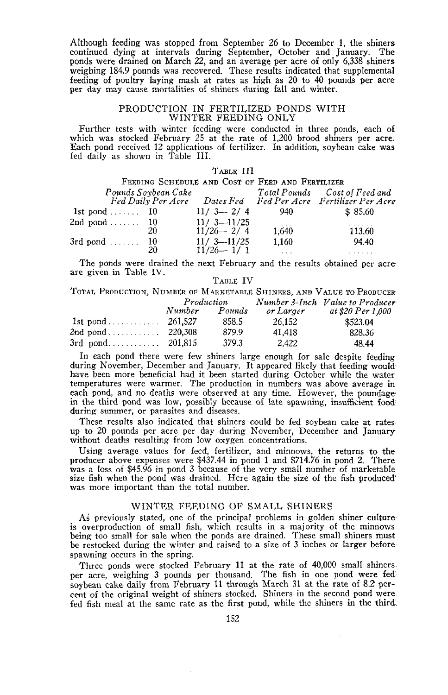Although feeding was stopped from September 26 to December 1, the shiners continued dying at intervals during September, October and January. The ponds were drained on March 22, and an average per acre of only 6,338 shiners weighing 184.9 pounds was recovered. These results indicated that supplemental feeding of poultry laying mash at rates as high as 20 to 40 pounds per acre per day may cause mortalities of shiners during fall and winter.

### PRODUCTION IN FERTILIZED PONDS WITH WINTER FEEDING ONLY

Further tests with winter feeding were conducted in three ponds, each of which was stocked February 25 at the rate of 1,200 brood shiners per acre. Each pond received 12 applications of fertilizer. In addition, soybean cake wasfed daily as shown in Table III.

|                       |                     | TABLE III                                        |          |                                                               |
|-----------------------|---------------------|--------------------------------------------------|----------|---------------------------------------------------------------|
|                       |                     | FEEDING SCHEDULE AND COST OF FEED AND FERTILIZER |          |                                                               |
|                       | Pounds Soybean Cake |                                                  |          | Total Pounds Cost of Feed and                                 |
|                       |                     |                                                  |          | Fed Daily Per Acre Dates Fed Fed Per Acre Fertilizer Per Acre |
| 1st pond $\ldots$ 10  |                     | $11/3 - 2/4$                                     | 940.     | \$85.60                                                       |
| 2nd pond $\ldots$ 10  |                     | $11/3 - 11/25$                                   | $\cdots$ |                                                               |
|                       | 20                  | $11/26 - 2/4$                                    | 1.640    | 113.60                                                        |
| $3rd$ pond $\dots$ 10 |                     | $11/3 - 11/25$                                   | 1.160    | 94.40                                                         |
|                       | 20                  | $11/26 - 1/1$                                    | $\cdots$ | .                                                             |

The ponds were drained the next February and the results obtained per acre are given in Table IV. TABLE IV

|  |  | TOTAL PRODUCTION, NUMBER OF MARKETABLE SHINERS, AND VALUE TO PRODUCER |                                                                                                                                                                                                                                                                                                                                                                                                                                                                                        |  |  |  |
|--|--|-----------------------------------------------------------------------|----------------------------------------------------------------------------------------------------------------------------------------------------------------------------------------------------------------------------------------------------------------------------------------------------------------------------------------------------------------------------------------------------------------------------------------------------------------------------------------|--|--|--|
|  |  | $D_{\text{max}}$ $J_{\text{max}}$ $L_{\text{max}}$                    | $\lambda_1, \ldots, \lambda_{n-1}, \lambda_1, \ldots, \lambda_n, \lambda_1, \ldots, \lambda_{n-1}, \ldots, \lambda_1, \ldots, \lambda_n, \ldots, \lambda_1, \ldots, \lambda_1, \ldots, \lambda_1, \ldots, \lambda_1, \ldots, \lambda_1, \ldots, \lambda_1, \ldots, \lambda_1, \ldots, \lambda_1, \ldots, \lambda_1, \ldots, \lambda_1, \ldots, \lambda_1, \ldots, \lambda_1, \ldots, \lambda_1, \ldots, \lambda_1, \ldots, \lambda_1, \ldots, \lambda_1, \ldots, \lambda_1, \ldots, \$ |  |  |  |

|                                         | Production |        |           | Number 3-Inch Value to Producer |  |  |
|-----------------------------------------|------------|--------|-----------|---------------------------------|--|--|
|                                         | Number     | Pounds | or Larger | at \$20 Per 1.000               |  |  |
|                                         |            | 858.5  | 26.152    | \$523.04                        |  |  |
| 2nd pond $\ldots \ldots \ldots 220.308$ |            | 879.9  | 41.418    | 828.36                          |  |  |
|                                         |            | 379.3  | 2.422     | 48.44                           |  |  |

In each pond there were few shiners large enough for sale despite feeding during November, December and January. It appeared likely that feeding would have been more beneficial had it been started during October while the water temperatures were warmer. The production in numbers was above average in each pond, and no deaths were observed at any time. However, the poundage' in the third pond was low, possibly because of late spawning, insufficient food during summer, or parasites and diseases.

These results also indicated that shiners could be fed soybean cake at rates up to 20 pounds per acre per day during November, December and January without deaths resulting from low oxygen concentrations.

Using average values for feed, fertilizer, and minnows, the returns to the producer above expenses were \$437.44 in pond <sup>1</sup> and \$714.76 in pond 2. There was <sup>a</sup> loss of \$45.96 in pond <sup>3</sup> because of the very small number of marketable size fish when the pond was drained. Here again the size of the fish produced' was more important than the total number.

### WINTER FEEDING OF SMALL SHINERS

As previously stated, one of the principal problems in golden shiner culture is overproduction of small fish, which results in a majority of the minnows being too small for sale when the ponds are drained. These small shiners must be restocked during the winter and raised to a size of 3 inches or larger before spawning occurs in the spring.

Three ponds were stocked February 11 at the rate of 40,000 small shiners per acre, weighing 3 pounds per thousand. The fish in one pond were fed soybean cake daily from February 11 through March 31 at the rate of 8.2 percent of the original weight of shiners stocked. Shiners in the second pond were fed fish meal at the same rate as the first pond, while the shiners in the third.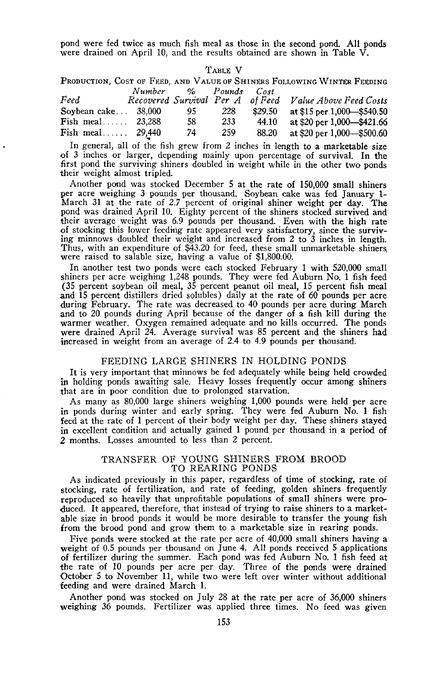pond were fed twice as much fish meal as those in the second pond. All ponds were drained on April 10, and the results obtained are shown in Table V.

| ABLE |  |
|------|--|
|------|--|

PRODUCTION, COST OF FEED, AND VALUE of SHINERS FOLLOWING WINTER FEEDING *Number* % *Pounds Cost*

|                               | iv umber | $\sim$ | ғ оипа с | U OST |                                                         |
|-------------------------------|----------|--------|----------|-------|---------------------------------------------------------|
| Feed                          |          |        |          |       | Recovered Survival Per A of Feed Value Above Feed Costs |
| Sovbean $\mathsf{cake} \dots$ | 38.000   | 95.    | 228      |       | \$29.50 at \$15 per 1,000 - \$540.50                    |
| $\textbf{Fish}$ meal          | 23.288   | 58     | 233      | 44.10 | at \$20 per 1,000—\$421.66                              |
| Fish meal $29.440$            |          | 74     | 259      | 88.20 | at \$20 per 1,000—\$500.60                              |

In general, all of the fish grew from 2 inches in length to a marketable size of 3 inches or larger, depending mainly upon percentage of survival. In the first pond the surviving shiners doubled in weight while in the other two ponds their weight almost tripled.

Another pond was stocked December 5 at the rate of 150,000 small shiners per acre weighing 3 pounds per thousand. Soybean cake was fed January **1-** March 31 at the rate of 2.7 percent of original shiner weight per day. The pond was drained April 10. Eighty percent of the shiners stocked survived and their average weight was 6.9 pounds per thousand. Even with the high rate of stocking this lower feeding rate appeared very satisfactory, since the surviving minnows doubled their weight and increased from 2 to 3 inches in length. Thus, with an expenditure of \$43.20 for feed, these small unmarketable shiners, were raised to salable size, having <sup>a</sup> value of \$1,800.00.

In another test two ponds were each stocked February 1 with 520,000 small shiners per acre weighing  $1,248$  pounds. They were fed Auburn No. 1 fish feed (35 percent soybean oil meal, 35 percent peanut oil meal, 15 percent fish meal and 15 percent distillers dried solubles) daily at the rate of 60 pounds per acre during February. The rate was decreased to 40 pounds per acre during March and to 20 pounds during April because of the danger of a fish kill during the warmer weather. Oxygen remained adequate and no kills occurred. The ponds were drained April 24. Average survival was 85 percent and the shiners had increased in weight from an average of 2.4 to 4.9 pounds per thousand.

### FEEDING LARGE SHINERS IN HOLDING PONDS

It is very important that minnows be fed adequately while being held crowded in holding ponds awaiting sale. Heavy losses frequently occur among shiners that are in poor condition due to prolonged starvation.

As many as 80,000 large shiners weighing 1,000 pounds were held per acre in ponds during winter and early spring. They were fed Auburn No. 1 fish feed at the rate of 1 percent of their body weight per day. These shiners stayed in excellent condition and actually gained 1 pound per thousand in a period of 2 months. Losses amounted to less than 2 percent.

### TRANSFER OF YOUNG SHINERS FROM BROOD TO REARING PONDS

As indicated previously in this paper, regardless of time of stocking, rate of stocking, rate of fertilization, and rate of feeding, golden shiners frequently reproduced so heavily that unprofitable populations of small shiners were pro duced. It appeared, therefore, that instead of trying to raise shiners to a marketable size in brood ponds it would be more desirable to transfer the young fish from the brood pond and grow them to a marketable size in rearing ponds.

Five ponds were stocked at the rate per acre of 40,000 small shiners having <sup>a</sup> weight of 0.5 pounds per thousand on June 4. All ponds received <sup>5</sup> applications of fertilizer during the summer. Each pond was fed Auburn No. 1 fish feed at the rate of 10 pounds per acre per day. Three of the ponds were drained October 5 to November 11, while two were left over winter without additional feeding and were drained March 1.

Another pond was stocked on July 28 at the rate per acre of 36,000 shiners weighing 36 pounds. Fertilizer was applied three times. No feed was given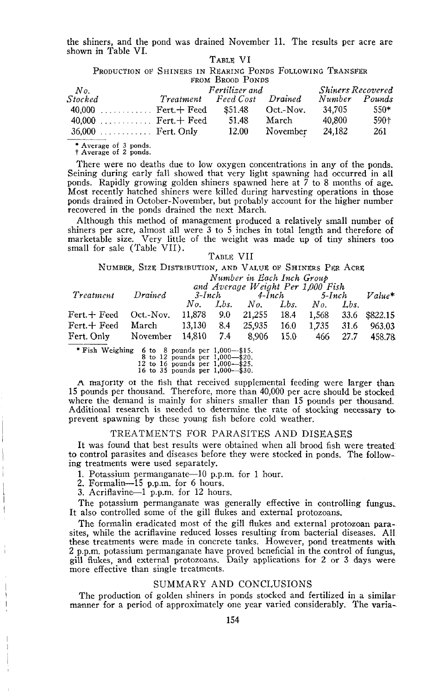the shiners, and the pond was drained November **11.** The results per acre are shown in Table VI. TABLE VI

PRODUCTION OF SHINERS IN REARING PONDS FOLLOWING TRANSFER FROM BROOD PONDS

| No.                          |           | Fertilizer and | <b>Shiners Recovered</b> |               |        |
|------------------------------|-----------|----------------|--------------------------|---------------|--------|
| Stocked                      | Treatment | Feed Cost      | <i>Drained</i>           | Number Pounds |        |
| $40,000$ Fert. $\vdash$ Feed |           | \$51.48        | Oct.-Nov.                | 34.705        | $550*$ |
| 40,000  Fert. $\pm$ Feed     |           | 51.48          | March                    | 40.800        | 590+   |
| $36,000$ Fert. Only          |           | 12.00          | November                 | 24.182        | 261    |

**\* Average of <sup>3</sup> ponds.** <sup>t</sup> Average of <sup>2</sup> ponds.

There were no deaths due to low oxygen concentrations in any of the ponds. Seining during early fall showed that very light spawning had occurred in all ponds. Rapidly growing golden shiners spawned here at 7 to 8 months of age. Most recently hatched shiners were killed during harvesting operations in those ponds drained in October-November, but probably account for the higher number recovered in the ponds drained the next March.

Although this method of management produced a relatively small number of shiners per acre, almost all were 3 to 5 inches in total length and therefore of marketable size. Very little of the weight was made up of tiny shiners too small for sale (Table VII).

#### TABLE VII

NUMBER, SIZE DISTRIBUTION, AND VALUE OF SHINERS PER ACRE

*Number in Each Inch Group*

| Treatment                                                 | Drained | and Average Weight Per 1.000 Fish<br>$3$ -Inch | $Value^*$                       |  |          |        |
|-----------------------------------------------------------|---------|------------------------------------------------|---------------------------------|--|----------|--------|
|                                                           |         |                                                | No. Lbs. No. Lbs. No. Lbs.      |  |          |        |
| Fert.+ Feed Oct.-Nov.                                     |         | 11,878 9.0                                     | 21,255 18.4 1,568 33.6 \$822.15 |  |          |        |
| Fert.+Feed March 13,130 8.4 25,935 16.0 1,735 31.6 963.03 |         |                                                |                                 |  |          |        |
| Fert. Only November 14.810 7.4 8.906 15.0                 |         |                                                |                                 |  | 466 27.7 | 458.78 |

\* Fish Weighing 6 to 8 pounds per 1,000-\$15.<br>8 to 12 pounds per 1,000-\$20.<br>12 to 16 pounds per 1,000-\$25.<br>16 to 35 pounds per 1,000-\$30.

A majority of the fish that received supplemental feeding were larger than 15 pounds per thousand. Therefore, more than 40,000 per acre should be stocked where the demand is mainly for shiners smaller than 15 pounds per thousand. Additional research is needed to determine the rate of stocking necessary to, prevent spawning by these young fish before cold weather.

## TREATMENTS FOR PARASITES AND DISEASES

It was found that best results were obtained when all brood fish were treated' to control parasites and diseases before they were stocked in ponds. The following treatments were used separately.

1. Potassium permanganate-10 p.p.m. for 1 hour.

2. Formalin-IS p.p.m. for 6 hours.

3. Acriflavine-I p.p.m. for 12 hours.

The potassium permanganate was generally effective in controlling fungus, It also controlled some of the gill flukes and external protozoans.

The formalin eradicated most of the gill flukes and external protozoan parasites, while the acriflavine reduced losses resulting from bacterial diseases. All these treatments were made in concrete tanks. However, pond treatments with 2 p.p.m. potassium permanganate have proved beneficial in the control of fungus, gill flukes, and external protozoans. Daily applications for 2 or 3 days were more effective than single treatments.

### SUMMARY AND CONCLUSIONS

The production of golden shiners in ponds stocked and fertilized in a similar manner for a period of approximately one year varied considerably. The varia